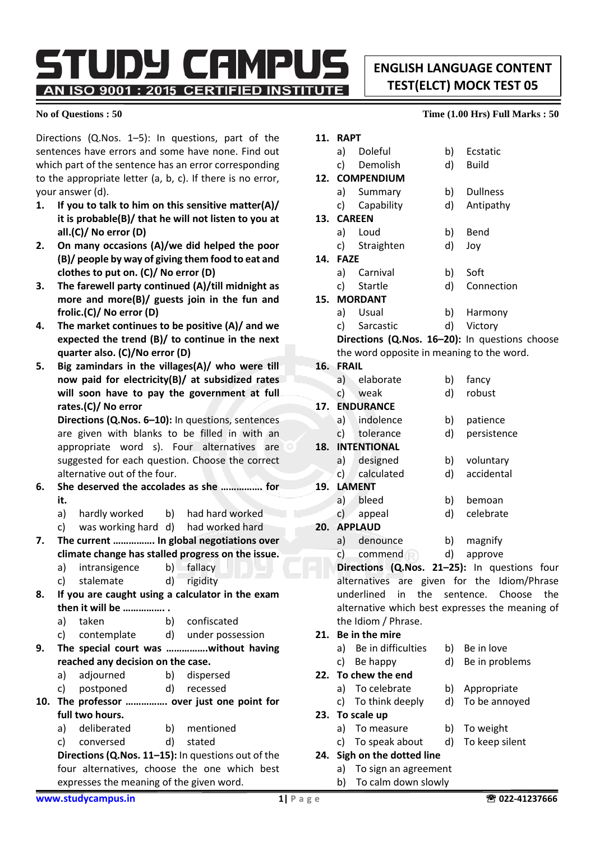TUDY CAMPU! AN ISO 9001 : 2015 CERTIFIED INSTITUTE

**ENGLISH LANGUAGE CONTENT TEST(ELCT) MOCK TEST 05**

Directions (Q.Nos. 1–5): In questions, part of the sentences have errors and some have none. Find out which part of the sentence has an error corresponding to the appropriate letter (a, b, c). If there is no error, your answer (d).

- **1. If you to talk to him on this sensitive matter(A)/ it is probable(B)/ that he will not listen to you at all.(C)/ No error (D)**
- **2. On many occasions (A)/we did helped the poor (B)/ people by way of giving them food to eat and clothes to put on. (C)/ No error (D)**
- **3. The farewell party continued (A)/till midnight as more and more(B)/ guests join in the fun and frolic.(C)/ No error (D)**
- **4. The market continues to be positive (A)/ and we expected the trend (B)/ to continue in the next quarter also. (C)/No error (D)**
- **5. Big zamindars in the villages(A)/ who were till now paid for electricity(B)/ at subsidized rates will soon have to pay the government at full rates.(C)/ No error**

**Directions (Q.Nos. 6–10):** In questions, sentences are given with blanks to be filled in with an appropriate word s). Four alternatives are suggested for each question. Choose the correct alternative out of the four.

- **6. She deserved the accolades as she ……………. for it.**
	- a) hardly worked b) had hard worked
	- c) was working hard d) had worked hard
- **7. The current ……………. In global negotiations over climate change has stalled progress on the issue.**
	- a) intransigence b) fallacy
	- c) stalemate d) rigidity
- **8. If you are caught using a calculator in the exam then it will be ……………. .**
	- a) taken b) confiscated
	- c) contemplate d) under possession
- **9. The special court was …………….without having reached any decision on the case.**
	- a) adjourned b) dispersed
	- c) postponed d) recessed
- **10. The professor ……………. over just one point for full two hours.**
	- a) deliberated b) mentioned
	- c) conversed d) stated

**Directions (Q.Nos. 11–15):** In questions out of the four alternatives, choose the one which best expresses the meaning of the given word.

#### **No of Questions : 50 Time (1.00 Hrs) Full Marks : 50**

| 11. | <b>RAPT</b>                                                            |                                                |    |                 |  |  |  |
|-----|------------------------------------------------------------------------|------------------------------------------------|----|-----------------|--|--|--|
|     |                                                                        | a) Doleful                                     |    | b) Ecstatic     |  |  |  |
|     |                                                                        | c) Demolish                                    | d) | Build           |  |  |  |
|     |                                                                        | 12. COMPENDIUM                                 |    |                 |  |  |  |
|     |                                                                        | a) Summary                                     | b) | <b>Dullness</b> |  |  |  |
|     |                                                                        | c) Capability                                  | d) | Antipathy       |  |  |  |
|     |                                                                        | 13. CAREEN                                     |    |                 |  |  |  |
|     |                                                                        | a) Loud                                        | b) | Bend            |  |  |  |
|     |                                                                        | c) Straighten                                  | d) | Joy             |  |  |  |
| 14. | <b>FAZE</b>                                                            |                                                |    |                 |  |  |  |
|     |                                                                        | a) Carnival                                    |    | b) Soft         |  |  |  |
|     |                                                                        | c) Startle                                     |    | d) Connection   |  |  |  |
|     |                                                                        | 15. MORDANT                                    |    |                 |  |  |  |
|     |                                                                        | a) Usual                                       |    | b) Harmony      |  |  |  |
|     |                                                                        | c) Sarcastic                                   |    | d) Victory      |  |  |  |
|     |                                                                        | Directions (Q.Nos. 16-20): In questions choose |    |                 |  |  |  |
|     |                                                                        | the word opposite in meaning to the word.      |    |                 |  |  |  |
|     | 16. FRAIL                                                              |                                                |    |                 |  |  |  |
|     |                                                                        | a) elaborate                                   | b) | fancy           |  |  |  |
|     |                                                                        | c) weak                                        | d) | robust          |  |  |  |
| 17. | <b>ENDURANCE</b>                                                       |                                                |    |                 |  |  |  |
|     |                                                                        | a) indolence                                   | b) | patience        |  |  |  |
|     |                                                                        | c) tolerance                                   | d) | persistence     |  |  |  |
|     |                                                                        | <b>18. INTENTIONAL</b>                         |    |                 |  |  |  |
|     |                                                                        | a) designed                                    |    | b) voluntary    |  |  |  |
|     |                                                                        | c) calculated                                  | d) | accidental      |  |  |  |
|     |                                                                        | 19. LAMENT                                     |    |                 |  |  |  |
|     |                                                                        | a) bleed                                       |    | b) bemoan       |  |  |  |
|     |                                                                        | c) appeal                                      | d) | celebrate       |  |  |  |
|     |                                                                        | 20. APPLAUD                                    |    |                 |  |  |  |
|     |                                                                        | a) denounce                                    |    | b) magnify      |  |  |  |
|     |                                                                        | c) commend                                     |    | d) approve      |  |  |  |
|     | Directions (Q.Nos. 21-25): In questions four                           |                                                |    |                 |  |  |  |
|     | alternatives are given for the Idiom/Phrase                            |                                                |    |                 |  |  |  |
|     | underlined in the sentence. Choose<br>the                              |                                                |    |                 |  |  |  |
|     | alternative which best expresses the meaning of<br>the Idiom / Phrase. |                                                |    |                 |  |  |  |
|     |                                                                        | 21. Be in the mire                             |    |                 |  |  |  |
|     |                                                                        | a) Be in difficulties                          |    |                 |  |  |  |
|     |                                                                        |                                                | b) | Be in love      |  |  |  |
|     | c).                                                                    | Be happy                                       | d) | Be in problems  |  |  |  |
| 22. |                                                                        | To chew the end                                |    |                 |  |  |  |

- a) To celebrate b) Appropriate
- c) To think deeply d) To be annoyed
- **23. To scale up**
	-
	-
- **24. Sigh on the dotted line**
	- a) To sign an agreement
	- b) To calm down slowly
- 
- 
- 
- a) To measure b) To weight
- 
- 
- c) To speak about d) To keep silent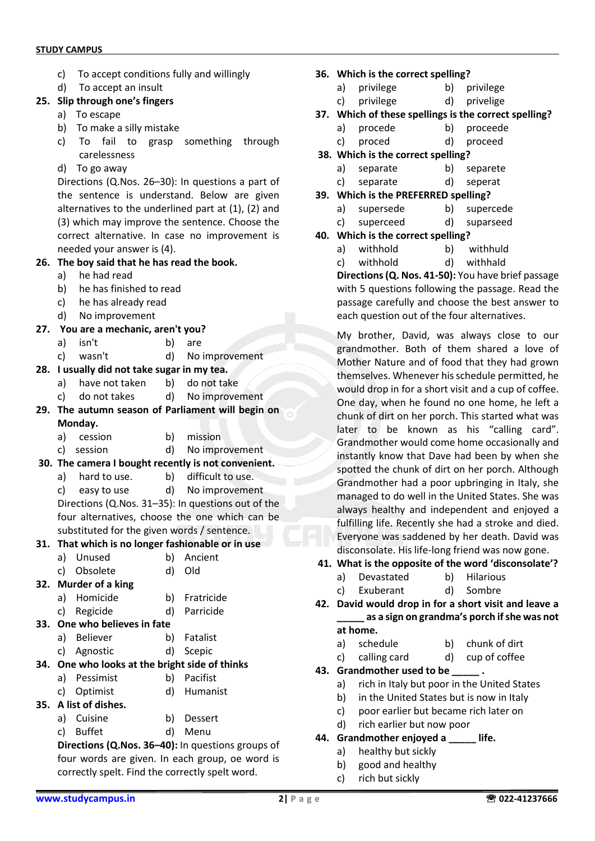- c) To accept conditions fully and willingly
- d) To accept an insult
- **25. Slip through one's fingers**
	- a) To escape
	- b) To make a silly mistake
	- c) To fail to grasp something through carelessness
	- d) To go away

Directions (Q.Nos. 26–30): In questions a part of the sentence is understand. Below are given alternatives to the underlined part at (1), (2) and (3) which may improve the sentence. Choose the correct alternative. In case no improvement is needed your answer is (4).

#### **26. The boy said that he has read the book.**

- a) he had read
- b) he has finished to read
- c) he has already read
- d) No improvement
- **27. You are a mechanic, aren't you?** 
	- a) isn't b) are
	- c) wasn't d) No improvement
- **28. I usually did not take sugar in my tea.** 
	- a) have not taken b) do not take
	- c) do not takes d) No improvement
- **29. The autumn season of Parliament will begin on Monday.** 
	- a) cession b) mission
	- c) session d) No improvement
- **30. The camera I bought recently is not convenient.** 
	- a) hard to use. b) difficult to use.
	- c) easy to use d) No improvement Directions (Q.Nos. 31–35): In questions out of the

four alternatives, choose the one which can be substituted for the given words / sentence.

# **31. That which is no longer fashionable or in use**

- a) Unused b) Ancient
- c) Obsolete d) Old
- **32. Murder of a king**
	- a) Homicide b) Fratricide
	- c) Regicide d) Parricide
- **33. One who believes in fate**
	- a) Believer b) Fatalist
	- c) Agnostic d) Scepic

## **34. One who looks at the bright side of thinks**

- a) Pessimist b) Pacifist
- c) Optimist d) Humanist
- **35. A list of dishes.**
	- a) Cuisine b) Dessert
	- c) Buffet d) Menu

**Directions (Q.Nos. 36–40):** In questions groups of four words are given. In each group, oe word is correctly spelt. Find the correctly spelt word.

- **36. Which is the correct spelling?**
	- a) privilege b) privilege
	- c) privilege d) privelige
- **37. Which of these spellings is the correct spelling?**
	- a) procede b) proceede
	- c) proced d) proceed
- **38. Which is the correct spelling?**
	- a) separate b) separete
	- c) separate d) seperat
- **39. Which is the PREFERRED spelling?**
	- a) supersede b) supercede
	- c) superceed d) suparseed
- **40. Which is the correct spelling?**
	- a) withhold b) withhuld
	- c) withhold d) withhald

**Directions (Q. Nos. 41-50):** You have brief passage with 5 questions following the passage. Read the passage carefully and choose the best answer to each question out of the four alternatives.

My brother, David, was always close to our grandmother. Both of them shared a love of Mother Nature and of food that they had grown themselves. Whenever his schedule permitted, he would drop in for a short visit and a cup of coffee. One day, when he found no one home, he left a chunk of dirt on her porch. This started what was later to be known as his "calling card". Grandmother would come home occasionally and instantly know that Dave had been by when she spotted the chunk of dirt on her porch. Although Grandmother had a poor upbringing in Italy, she managed to do well in the United States. She was always healthy and independent and enjoyed a fulfilling life. Recently she had a stroke and died. Everyone was saddened by her death. David was disconsolate. His life-long friend was now gone.

## **41. What is the opposite of the word 'disconsolate'?**

- a) Devastated b) Hilarious
- c) Exuberant d) Sombre
- **42. David would drop in for a short visit and leave a \_\_\_\_\_ as a sign on grandma's porch if she was not at home.**
	-
	- a) schedule b) chunk of dirt
	- c) calling card d) cup of coffee
- **43. Grandmother used to be** 
	- a) rich in Italy but poor in the United States
	- b) in the United States but is now in Italy
	- c) poor earlier but became rich later on
	- d) rich earlier but now poor
- **44. Grandmother enjoyed a \_\_\_\_\_ life.**
	- a) healthy but sickly
	- b) good and healthy
	- c) rich but sickly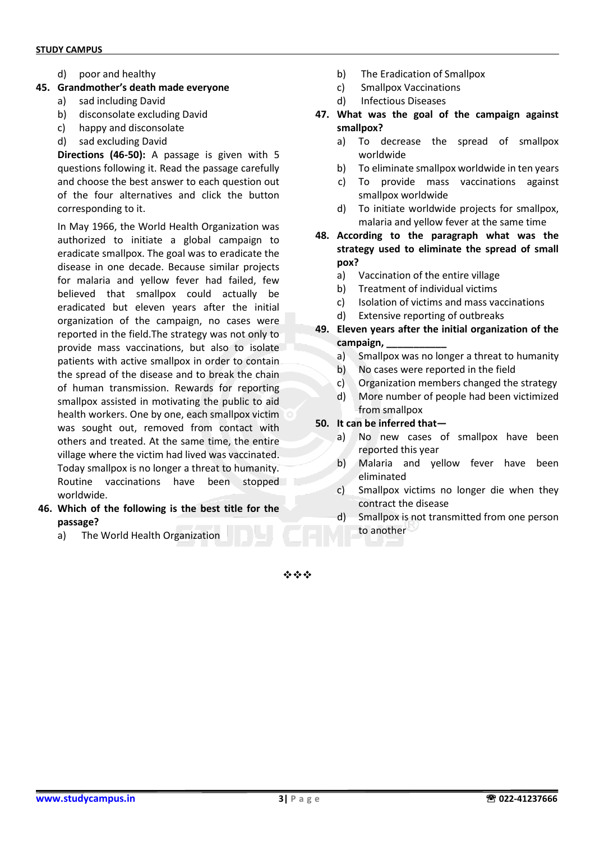d) poor and healthy

#### **45. Grandmother's death made everyone**

- a) sad including David
- b) disconsolate excluding David
- c) happy and disconsolate
- d) sad excluding David

**Directions (46-50):** A passage is given with 5 questions following it. Read the passage carefully and choose the best answer to each question out of the four alternatives and click the button corresponding to it.

In May 1966, the World Health Organization was authorized to initiate a global campaign to eradicate smallpox. The goal was to eradicate the disease in one decade. Because similar projects for malaria and yellow fever had failed, few believed that smallpox could actually be eradicated but eleven years after the initial organization of the campaign, no cases were reported in the field.The strategy was not only to provide mass vaccinations, but also to isolate patients with active smallpox in order to contain the spread of the disease and to break the chain of human transmission. Rewards for reporting smallpox assisted in motivating the public to aid health workers. One by one, each smallpox victim was sought out, removed from contact with others and treated. At the same time, the entire village where the victim had lived was vaccinated. Today smallpox is no longer a threat to humanity. Routine vaccinations have been stopped worldwide.

- **46. Which of the following is the best title for the passage?**
	- a) The World Health Organization
- b) The Eradication of Smallpox
- c) Smallpox Vaccinations
- d) Infectious Diseases
- **47. What was the goal of the campaign against smallpox?**
	- a) To decrease the spread of smallpox worldwide
	- b) To eliminate smallpox worldwide in ten years
	- c) To provide mass vaccinations against smallpox worldwide
	- d) To initiate worldwide projects for smallpox, malaria and yellow fever at the same time
- **48. According to the paragraph what was the strategy used to eliminate the spread of small pox?**
	- a) Vaccination of the entire village
	- b) Treatment of individual victims
	- c) Isolation of victims and mass vaccinations
	- d) Extensive reporting of outbreaks
- **49. Eleven years after the initial organization of the campaign, \_\_\_\_\_\_\_\_\_\_\_**
	- a) Smallpox was no longer a threat to humanity
	- b) No cases were reported in the field
	- c) Organization members changed the strategy
	- d) More number of people had been victimized from smallpox
- **50. It can be inferred that**
	- a) No new cases of smallpox have been reported this year
	- b) Malaria and yellow fever have been eliminated
	- c) Smallpox victims no longer die when they contract the disease
	- d) Smallpox is not transmitted from one person to another

❖❖❖